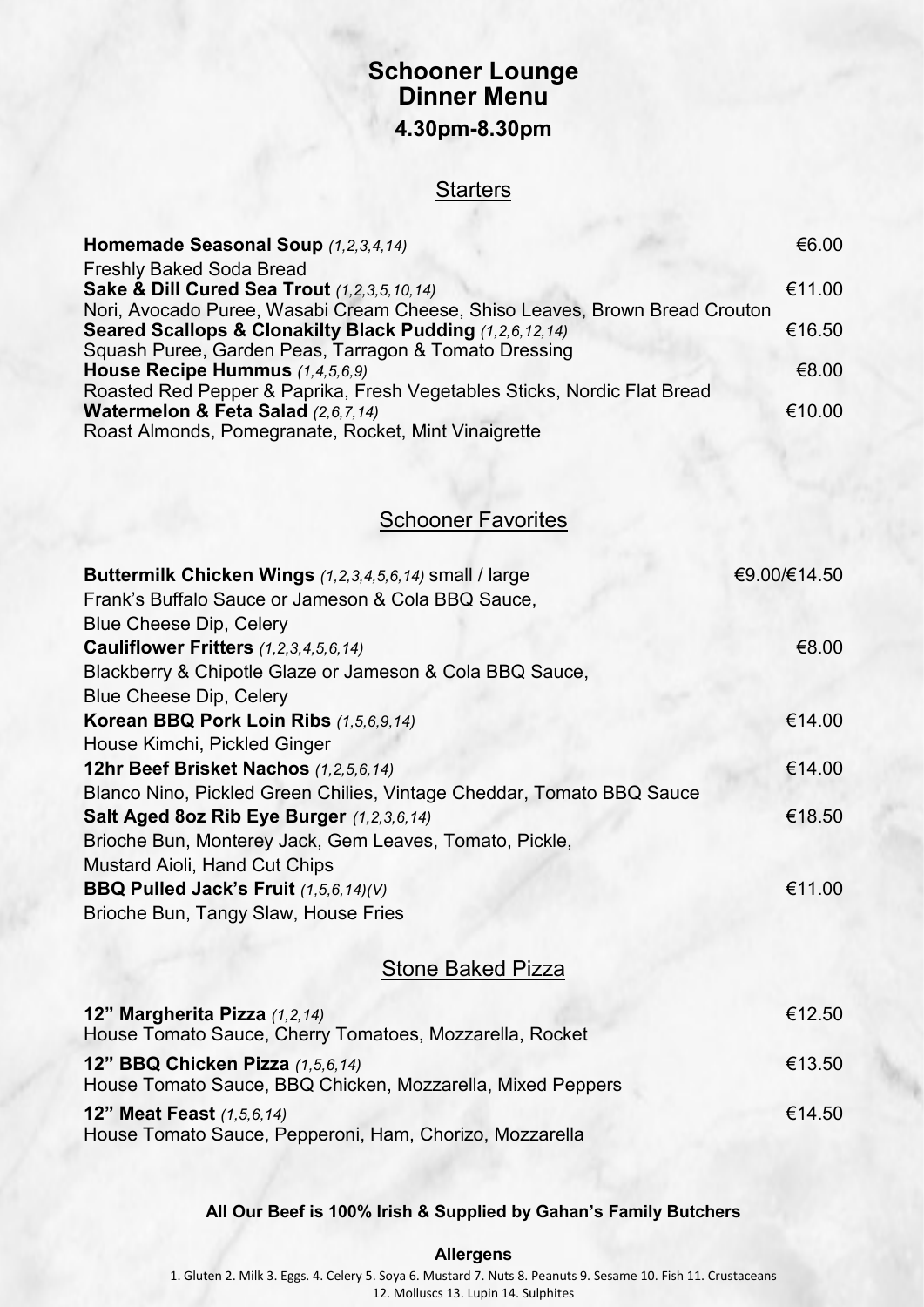## **Schooner Lounge Dinner Menu 4.30pm-8.30pm**

### **Starters**

| Homemade Seasonal Soup (1,2,3,4,14)                                         | €6.00  |
|-----------------------------------------------------------------------------|--------|
| Freshly Baked Soda Bread                                                    |        |
| <b>Sake &amp; Dill Cured Sea Trout (1,2,3,5,10,14)</b>                      | €11.00 |
| Nori, Avocado Puree, Wasabi Cream Cheese, Shiso Leaves, Brown Bread Crouton |        |
| Seared Scallops & Clonakilty Black Pudding (1,2,6,12,14)                    | €16.50 |
| Squash Puree, Garden Peas, Tarragon & Tomato Dressing                       |        |
| House Recipe Hummus (1,4,5,6,9)                                             | €8.00  |
| Roasted Red Pepper & Paprika, Fresh Vegetables Sticks, Nordic Flat Bread    |        |
| Watermelon & Feta Salad (2,6,7,14)                                          | €10.00 |
| Roast Almonds, Pomegranate, Rocket, Mint Vinaigrette                        |        |

**Schooner Favorites** 

| Buttermilk Chicken Wings (1,2,3,4,5,6,14) small / large                                               | €9.00/€14.50 |
|-------------------------------------------------------------------------------------------------------|--------------|
| Frank's Buffalo Sauce or Jameson & Cola BBQ Sauce,                                                    |              |
| <b>Blue Cheese Dip, Celery</b>                                                                        |              |
| Cauliflower Fritters (1,2,3,4,5,6,14)                                                                 | €8.00        |
| Blackberry & Chipotle Glaze or Jameson & Cola BBQ Sauce,                                              |              |
| <b>Blue Cheese Dip, Celery</b>                                                                        |              |
| Korean BBQ Pork Loin Ribs (1,5,6,9,14)                                                                | €14.00       |
| House Kimchi, Pickled Ginger                                                                          |              |
| 12hr Beef Brisket Nachos (1,2,5,6,14)                                                                 | €14.00       |
| Blanco Nino, Pickled Green Chilies, Vintage Cheddar, Tomato BBQ Sauce                                 |              |
| Salt Aged 8oz Rib Eye Burger (1,2,3,6,14)                                                             | €18.50       |
| Brioche Bun, Monterey Jack, Gem Leaves, Tomato, Pickle,                                               |              |
| <b>Mustard Aioli, Hand Cut Chips</b>                                                                  |              |
| BBQ Pulled Jack's Fruit (1,5,6,14)(V)                                                                 | €11.00       |
| Brioche Bun, Tangy Slaw, House Fries                                                                  |              |
| <b>Stone Baked Pizza</b>                                                                              |              |
|                                                                                                       |              |
| 12" Margherita Pizza (1,2,14)<br>House Tomato Sauce, Cherry Tomatoes, Mozzarella, Rocket              | €12.50       |
| <b>12" BBQ Chicken Pizza (1,5,6,14)</b><br>House Tomato Sauce, BBQ Chicken, Mozzarella, Mixed Peppers | €13.50       |
| <b>12" Meat Feast (1,5,6,14)</b><br>House Tomato Sauce, Pepperoni, Ham, Chorizo, Mozzarella           | €14.50       |

**All Our Beef is 100% Irish & Supplied by Gahan's Family Butchers**

**Allergens**

1. Gluten 2. Milk 3. Eggs. 4. Celery 5. Soya 6. Mustard 7. Nuts 8. Peanuts 9. Sesame 10. Fish 11. Crustaceans 12. Molluscs 13. Lupin 14. Sulphites